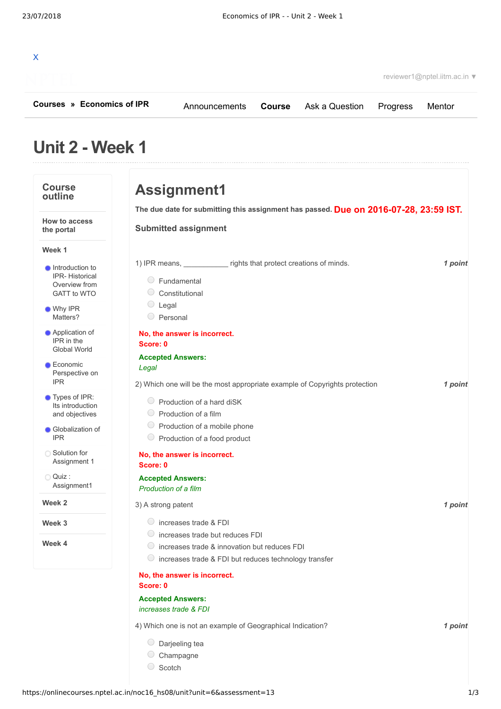| X |  |  |  |  |
|---|--|--|--|--|
| J |  |  |  |  |

reviewer1@nptel.iitm.ac.in ▼

**[Courses](https://onlinecourses.nptel.ac.in/) » [Economics of IPR](https://onlinecourses.nptel.ac.in/noc16_hs08/course)**

[Announcements](https://onlinecourses.nptel.ac.in/noc16_hs08/announcements) **[Course](https://onlinecourses.nptel.ac.in/noc16_hs08/course)** [Ask a Question](https://onlinecourses.nptel.ac.in/noc16_hs08/forum) [Progress](https://onlinecourses.nptel.ac.in/noc16_hs08/student/home) [Mentor](https://onlinecourses.nptel.ac.in/noc16_hs08/student/mentor)

## **Unit 2 - Week 1**

## **Course outline How to access the portal Week 1 Week 2 Week 3 Week 4 [Introduction](https://onlinecourses.nptel.ac.in/noc16_hs08/unit?unit=6&lesson=7) to** IPR- Historical Overview from GATT to WTO Why IPR [Matters?](https://onlinecourses.nptel.ac.in/noc16_hs08/unit?unit=6&lesson=8) **[Application](https://onlinecourses.nptel.ac.in/noc16_hs08/unit?unit=6&lesson=9) of** IPR in the Global World **Economic** [Perspective](https://onlinecourses.nptel.ac.in/noc16_hs08/unit?unit=6&lesson=10) on IPR Types of IPR: Its [introduction](https://onlinecourses.nptel.ac.in/noc16_hs08/unit?unit=6&lesson=11) and objectives **[Globalization](https://onlinecourses.nptel.ac.in/noc16_hs08/unit?unit=6&lesson=12) of** IPR ◯ Solution for [Assignment](https://onlinecourses.nptel.ac.in/noc16_hs08/unit?unit=6&lesson=35) 1 Quiz : [Assignment1](https://onlinecourses.nptel.ac.in/noc16_hs08/assessment?name=13) **Due on 2016-07-28, 23:59 IST. The due date for submitting this assignment has passed.** 1) IPR means, equal to protect creations of minds. The means, the mass of point 2) *1 point* Which one will be the most appropriate example of Copyrights protection 3) *1 point* A strong patent 4) *1 point* Which one is not an example of Geographical Indication? **Assignment1 Submitted assignment** Fundamental Constitutional C Legal  $\circ$  Personal **No, the answer is incorrect. Score: 0 Accepted Answers:** *Legal* Production of a hard diSK  $\circ$  Production of a film  $\circ$  Production of a mobile phone  $\bigcirc$  Production of a food product **No, the answer is incorrect. Score: 0 Accepted Answers:** *Production of a film* increases trade & FDI  $\circ$  increases trade but reduces FDI  $\circ$  increases trade & innovation but reduces FDI  $\circ$  increases trade & FDI but reduces technology transfer **No, the answer is incorrect. Score: 0 Accepted Answers:** *increases trade & FDI*  $\circ$  Darieeling tea Champagne C Scotch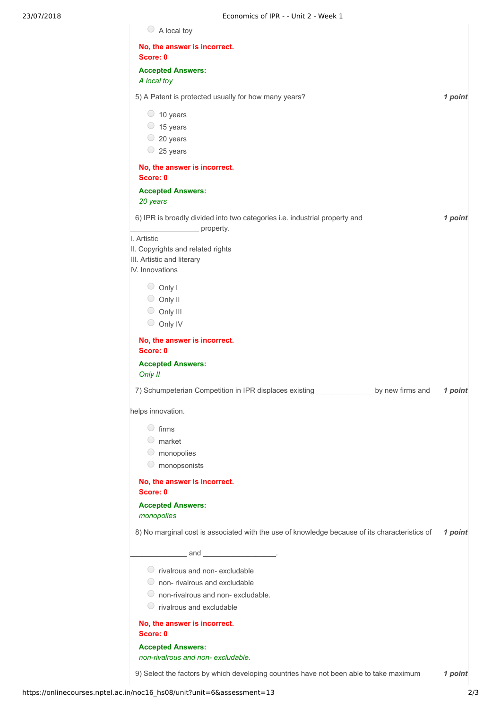| No, the answer is incorrect.<br>Score: 0                                                      |         |
|-----------------------------------------------------------------------------------------------|---------|
| <b>Accepted Answers:</b>                                                                      |         |
| A local toy                                                                                   |         |
| 5) A Patent is protected usually for how many years?                                          | 1 point |
| $\circ$ 10 years                                                                              |         |
| 15 years                                                                                      |         |
| $\circ$ 20 years                                                                              |         |
| $\circ$ 25 years                                                                              |         |
| No, the answer is incorrect.<br>Score: 0                                                      |         |
| <b>Accepted Answers:</b>                                                                      |         |
| 20 years                                                                                      |         |
| 6) IPR is broadly divided into two categories i.e. industrial property and<br>property.       | 1 point |
| I. Artistic<br>II. Copyrights and related rights                                              |         |
| III. Artistic and literary                                                                    |         |
| IV. Innovations                                                                               |         |
| $\bigcirc$ Only I                                                                             |         |
| $\circ$ Only II                                                                               |         |
| $\circ$ Only III                                                                              |         |
| $\circ$ Only IV                                                                               |         |
| No, the answer is incorrect.                                                                  |         |
| Score: 0                                                                                      |         |
| <b>Accepted Answers:</b>                                                                      |         |
| Only II                                                                                       |         |
| 7) Schumpeterian Competition in IPR displaces existing ____<br>by new firms and               | 1 point |
| helps innovation.                                                                             |         |
| $\circ$ firms                                                                                 |         |
| $\circ$ market                                                                                |         |
| $\circ$ monopolies                                                                            |         |
| $\bigcirc$<br>monopsonists                                                                    |         |
| No, the answer is incorrect.<br>Score: 0                                                      |         |
| <b>Accepted Answers:</b><br>monopolies                                                        |         |
| 8) No marginal cost is associated with the use of knowledge because of its characteristics of | 1 point |
| $\frac{1}{2}$ and $\frac{1}{2}$ .                                                             |         |
| $\circ$ rivalrous and non-excludable                                                          |         |
| $\circ$ non-rivalrous and excludable                                                          |         |
| $\circ$ non-rivalrous and non-excludable.                                                     |         |
| $\circ$ rivalrous and excludable                                                              |         |
| No, the answer is incorrect.                                                                  |         |
| Score: 0                                                                                      |         |
| <b>Accepted Answers:</b><br>non-rivalrous and non-excludable.                                 |         |
|                                                                                               |         |
| 9) Select the factors by which developing countries have not been able to take maximum        | 1 point |